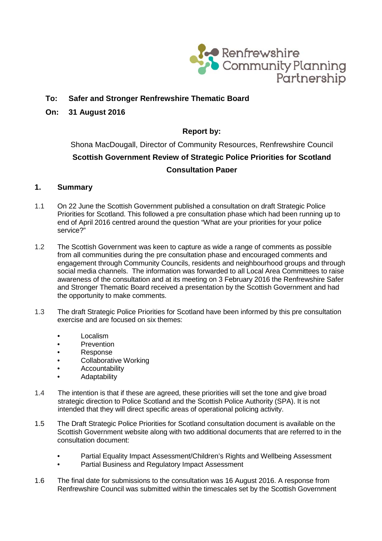

## **To: Safer and Stronger Renfrewshire Thematic Board**

**On: 31 August 2016** 

### **Report by:**

Shona MacDougall, Director of Community Resources, Renfrewshire Council **Scottish Government Review of Strategic Police Priorities for Scotland Consultation Paper**

### **1. Summary**

- 1.1 On 22 June the Scottish Government published a consultation on draft Strategic Police Priorities for Scotland. This followed a pre consultation phase which had been running up to end of April 2016 centred around the question "What are your priorities for your police service?"
- 1.2 The Scottish Government was keen to capture as wide a range of comments as possible from all communities during the pre consultation phase and encouraged comments and engagement through Community Councils, residents and neighbourhood groups and through social media channels. The information was forwarded to all Local Area Committees to raise awareness of the consultation and at its meeting on 3 February 2016 the Renfrewshire Safer and Stronger Thematic Board received a presentation by the Scottish Government and had the opportunity to make comments.
- 1.3 The draft Strategic Police Priorities for Scotland have been informed by this pre consultation exercise and are focused on six themes:
	- Localism
	- Prevention
	- Response
	- Collaborative Working
	- **Accountability**
	- Adaptability
- 1.4 The intention is that if these are agreed, these priorities will set the tone and give broad strategic direction to Police Scotland and the Scottish Police Authority (SPA). It is not intended that they will direct specific areas of operational policing activity.
- 1.5 The Draft Strategic Police Priorities for Scotland consultation document is available on the Scottish Government website along with two additional documents that are referred to in the consultation document:
	- Partial Equality Impact Assessment/Children's Rights and Wellbeing Assessment
	- Partial Business and Regulatory Impact Assessment
- 1.6 The final date for submissions to the consultation was 16 August 2016. A response from Renfrewshire Council was submitted within the timescales set by the Scottish Government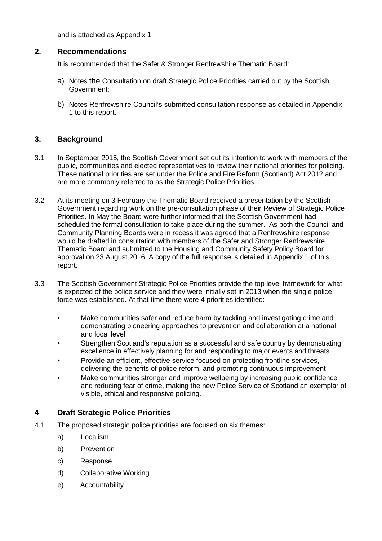and is attached as Appendix 1

### **2. Recommendations**

It is recommended that the Safer & Stronger Renfrewshire Thematic Board:

- a) Notes the Consultation on draft Strategic Police Priorities carried out by the Scottish Government;
- b) Notes Renfrewshire Council's submitted consultation response as detailed in Appendix 1 to this report.

### **3. Background**

- 3.1 In September 2015, the Scottish Government set out its intention to work with members of the public, communities and elected representatives to review their national priorities for policing. These national priorities are set under the Police and Fire Reform (Scotland) Act 2012 and are more commonly referred to as the Strategic Police Priorities.
- 3.2 At its meeting on 3 February the Thematic Board received a presentation by the Scottish Government regarding work on the pre-consultation phase of their Review of Strategic Police Priorities. In May the Board were further informed that the Scottish Government had scheduled the formal consultation to take place during the summer. As both the Council and Community Planning Boards were in recess it was agreed that a Renfrewshire response would be drafted in consultation with members of the Safer and Stronger Renfrewshire Thematic Board and submitted to the Housing and Community Safety Policy Board for approval on 23 August 2016. A copy of the full response is detailed in Appendix 1 of this report.
- 3.3 The Scottish Government Strategic Police Priorities provide the top level framework for what is expected of the police service and they were initially set in 2013 when the single police force was established. At that time there were 4 priorities identified:
	- Make communities safer and reduce harm by tackling and investigating crime and demonstrating pioneering approaches to prevention and collaboration at a national and local level
	- Strengthen Scotland's reputation as a successful and safe country by demonstrating excellence in effectively planning for and responding to major events and threats
	- Provide an efficient, effective service focused on protecting frontline services, delivering the benefits of police reform, and promoting continuous improvement
	- Make communities stronger and improve wellbeing by increasing public confidence and reducing fear of crime, making the new Police Service of Scotland an exemplar of visible, ethical and responsive policing.

## **4 Draft Strategic Police Priorities**

- 4.1 The proposed strategic police priorities are focused on six themes:
	- a) Localism
	- b) Prevention
	- c) Response
	- d) Collaborative Working
	- e) Accountability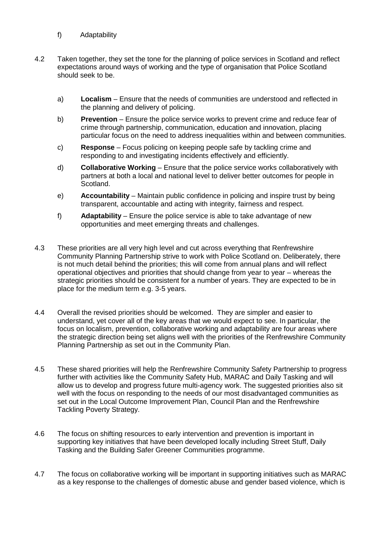- f) Adaptability
- 4.2 Taken together, they set the tone for the planning of police services in Scotland and reflect expectations around ways of working and the type of organisation that Police Scotland should seek to be.
	- a) **Localism**  Ensure that the needs of communities are understood and reflected in the planning and delivery of policing.
	- b) **Prevention** Ensure the police service works to prevent crime and reduce fear of crime through partnership, communication, education and innovation, placing particular focus on the need to address inequalities within and between communities.
	- c) **Response**  Focus policing on keeping people safe by tackling crime and responding to and investigating incidents effectively and efficiently.
	- d) **Collaborative Working** Ensure that the police service works collaboratively with partners at both a local and national level to deliver better outcomes for people in Scotland.
	- e) **Accountability** Maintain public confidence in policing and inspire trust by being transparent, accountable and acting with integrity, fairness and respect.
	- f) **Adaptability**  Ensure the police service is able to take advantage of new opportunities and meet emerging threats and challenges.
- 4.3 These priorities are all very high level and cut across everything that Renfrewshire Community Planning Partnership strive to work with Police Scotland on. Deliberately, there is not much detail behind the priorities; this will come from annual plans and will reflect operational objectives and priorities that should change from year to year – whereas the strategic priorities should be consistent for a number of years. They are expected to be in place for the medium term e.g. 3-5 years.
- 4.4 Overall the revised priorities should be welcomed. They are simpler and easier to understand, yet cover all of the key areas that we would expect to see. In particular, the focus on localism, prevention, collaborative working and adaptability are four areas where the strategic direction being set aligns well with the priorities of the Renfrewshire Community Planning Partnership as set out in the Community Plan.
- 4.5 These shared priorities will help the Renfrewshire Community Safety Partnership to progress further with activities like the Community Safety Hub, MARAC and Daily Tasking and will allow us to develop and progress future multi-agency work. The suggested priorities also sit well with the focus on responding to the needs of our most disadvantaged communities as set out in the Local Outcome Improvement Plan, Council Plan and the Renfrewshire Tackling Poverty Strategy.
- 4.6 The focus on shifting resources to early intervention and prevention is important in supporting key initiatives that have been developed locally including Street Stuff, Daily Tasking and the Building Safer Greener Communities programme.
- 4.7 The focus on collaborative working will be important in supporting initiatives such as MARAC as a key response to the challenges of domestic abuse and gender based violence, which is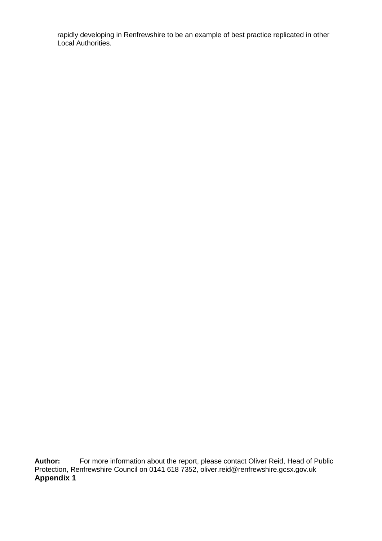rapidly developing in Renfrewshire to be an example of best practice replicated in other Local Authorities.

**Author:** For more information about the report, please contact Oliver Reid, Head of Public Protection, Renfrewshire Council on 0141 618 7352, [oliver.reid@renfrewshire.gcsx.gov.uk](mailto:oliver.reid@renfrewshire.gcsx.gov.uk) **Appendix 1**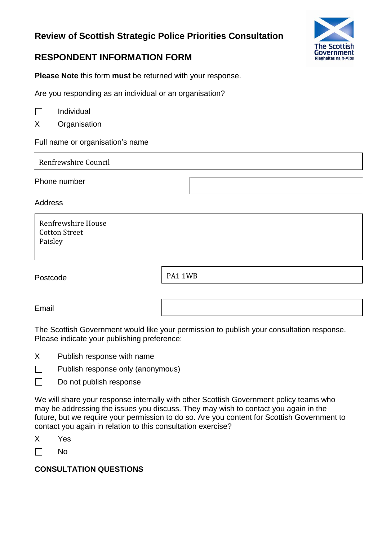# **Review of Scottish Strategic Police Priorities Consultation**



# **RESPONDENT INFORMATION FORM**

**Please Note** this form **must** be returned with your response.

Are you responding as an individual or an organisation?

X Organisation

Full name or organisation's name

Renfrewshire Council

Phone number

Address

| Renfrewshire House   |
|----------------------|
| <b>Cotton Street</b> |
| Paisley              |

Postcode

PA1 1WB

Email

The Scottish Government would like your permission to publish your consultation response. Please indicate your publishing preference:

- X Publish response with name
- $\Box$ Publish response only (anonymous)
- $\Box$ Do not publish response

We will share your response internally with other Scottish Government policy teams who may be addressing the issues you discuss. They may wish to contact you again in the future, but we require your permission to do so. Are you content for Scottish Government to contact you again in relation to this consultation exercise?

X Yes

 $\Box$ No

## **CONSULTATION QUESTIONS**